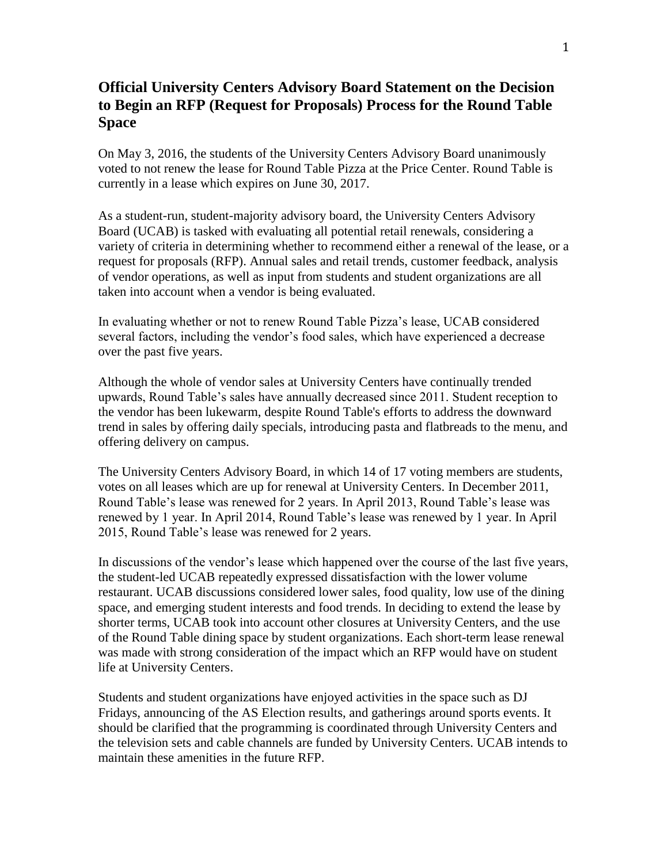## **Official University Centers Advisory Board Statement on the Decision to Begin an RFP (Request for Proposals) Process for the Round Table Space**

On May 3, 2016, the students of the University Centers Advisory Board unanimously voted to not renew the lease for Round Table Pizza at the Price Center. Round Table is currently in a lease which expires on June 30, 2017.

As a student‐run, student‐majority advisory board, the University Centers Advisory Board (UCAB) is tasked with evaluating all potential retail renewals, considering a variety of criteria in determining whether to recommend either a renewal of the lease, or a request for proposals (RFP). Annual sales and retail trends, customer feedback, analysis of vendor operations, as well as input from students and student organizations are all taken into account when a vendor is being evaluated.

In evaluating whether or not to renew Round Table Pizza's lease, UCAB considered several factors, including the vendor's food sales, which have experienced a decrease over the past five years.

Although the whole of vendor sales at University Centers have continually trended upwards, Round Table's sales have annually decreased since 2011. Student reception to the vendor has been lukewarm, despite Round Table's efforts to address the downward trend in sales by offering daily specials, introducing pasta and flatbreads to the menu, and offering delivery on campus.

The University Centers Advisory Board, in which 14 of 17 voting members are students, votes on all leases which are up for renewal at University Centers. In December 2011, Round Table's lease was renewed for 2 years. In April 2013, Round Table's lease was renewed by 1 year. In April 2014, Round Table's lease was renewed by 1 year. In April 2015, Round Table's lease was renewed for 2 years.

In discussions of the vendor's lease which happened over the course of the last five years, the student-led UCAB repeatedly expressed dissatisfaction with the lower volume restaurant. UCAB discussions considered lower sales, food quality, low use of the dining space, and emerging student interests and food trends. In deciding to extend the lease by shorter terms, UCAB took into account other closures at University Centers, and the use of the Round Table dining space by student organizations. Each short-term lease renewal was made with strong consideration of the impact which an RFP would have on student life at University Centers.

Students and student organizations have enjoyed activities in the space such as DJ Fridays, announcing of the AS Election results, and gatherings around sports events. It should be clarified that the programming is coordinated through University Centers and the television sets and cable channels are funded by University Centers. UCAB intends to maintain these amenities in the future RFP.